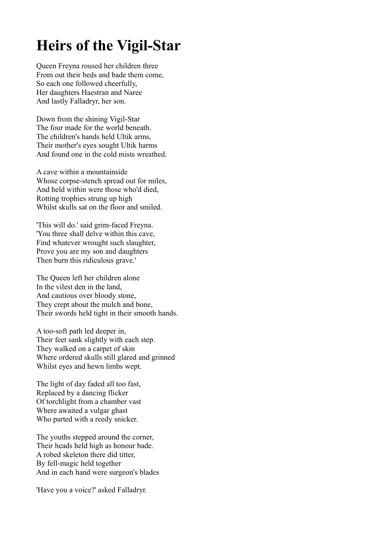## **Heirs of the Vigil-Star**

Queen Freyna roused her children three From out their beds and bade them come, So each one followed cheerfully, Her daughters Haestran and Naree And lastly Falladryr, her son.

Down from the shining Vigil-Star The four made for the world beneath. The children's hands held Ultik arms, Their mother's eyes sought Ultik harms And found one in the cold mists wreathed.

A cave within a mountainside Whose corpse-stench spread out for miles, And held within were those who'd died, Rotting trophies strung up high Whilst skulls sat on the floor and smiled.

'This will do.' said grim-faced Freyna. 'You three shall delve within this cave, Find whatever wrought such slaughter, Prove you are my son and daughters Then burn this ridiculous grave.'

The Queen left her children alone In the vilest den in the land, And cautious over bloody stone, They crept about the mulch and bone, Their swords held tight in their smooth hands.

A too-soft path led deeper in, Their feet sank slightly with each step. They walked on a carpet of skin Where ordered skulls still glared and grinned Whilst eyes and hewn limbs wept.

The light of day faded all too fast, Replaced by a dancing flicker Of torchlight from a chamber vast Where awaited a vulgar ghast Who parted with a reedy snicker.

The youths stepped around the corner, Their heads held high as honour bade. A robed skeleton there did titter, By fell-magic held together And in each hand were surgeon's blades

'Have you a voice?' asked Falladryr.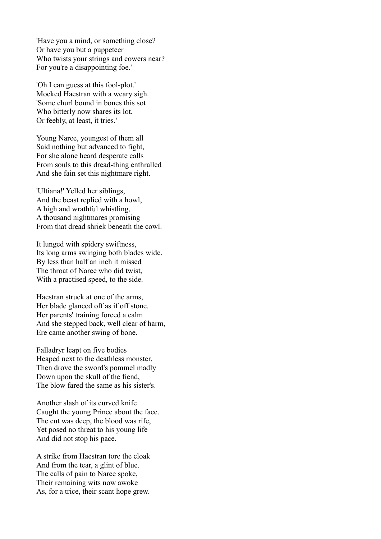'Have you a mind, or something close? Or have you but a puppeteer Who twists your strings and cowers near? For you're a disappointing foe.'

'Oh I can guess at this fool-plot.' Mocked Haestran with a weary sigh. 'Some churl bound in bones this sot Who bitterly now shares its lot, Or feebly, at least, it tries.'

Young Naree, youngest of them all Said nothing but advanced to fight, For she alone heard desperate calls From souls to this dread-thing enthralled And she fain set this nightmare right.

'Ultiana!' Yelled her siblings, And the beast replied with a howl, A high and wrathful whistling, A thousand nightmares promising From that dread shriek beneath the cowl.

It lunged with spidery swiftness, Its long arms swinging both blades wide. By less than half an inch it missed The throat of Naree who did twist, With a practised speed, to the side.

Haestran struck at one of the arms, Her blade glanced off as if off stone. Her parents' training forced a calm And she stepped back, well clear of harm, Ere came another swing of bone.

Falladryr leapt on five bodies Heaped next to the deathless monster, Then drove the sword's pommel madly Down upon the skull of the fiend, The blow fared the same as his sister's.

Another slash of its curved knife Caught the young Prince about the face. The cut was deep, the blood was rife, Yet posed no threat to his young life And did not stop his pace.

A strike from Haestran tore the cloak And from the tear, a glint of blue. The calls of pain to Naree spoke, Their remaining wits now awoke As, for a trice, their scant hope grew.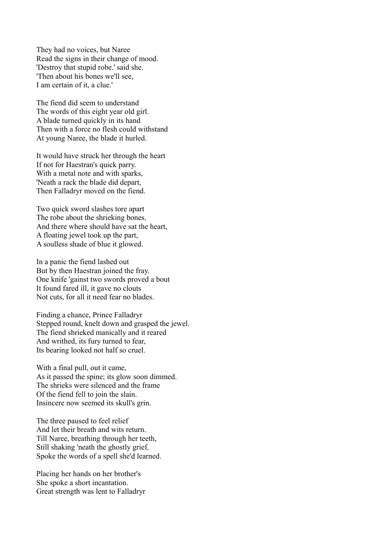They had no voices, but Naree Read the signs in their change of mood. 'Destroy that stupid robe.' said she. 'Then about his bones we'll see, I am certain of it, a clue.'

The fiend did seem to understand The words of this eight year old girl. A blade turned quickly in its hand Then with a force no flesh could withstand At young Naree, the blade it hurled.

It would have struck her through the heart If not for Haestran's quick parry. With a metal note and with sparks, 'Neath a rack the blade did depart, Then Falladryr moved on the fiend.

Two quick sword slashes tore apart The robe about the shrieking bones, And there where should have sat the heart, A floating jewel took up the part, A soulless shade of blue it glowed.

In a panic the fiend lashed out But by then Haestran joined the fray. One knife 'gainst two swords proved a bout It found fared ill, it gave no clouts Not cuts, for all it need fear no blades.

Finding a chance, Prince Falladryr Stepped round, knelt down and grasped the jewel. The fiend shrieked manically and it reared And writhed, its fury turned to fear, Its bearing looked not half so cruel.

With a final pull, out it came, As it passed the spine; its glow soon dimmed. The shrieks were silenced and the frame Of the fiend fell to join the slain. Insincere now seemed its skull's grin.

The three paused to feel relief And let their breath and wits return. Till Naree, breathing through her teeth, Still shaking 'neath the ghostly grief, Spoke the words of a spell she'd learned.

Placing her hands on her brother's She spoke a short incantation. Great strength was lent to Falladryr